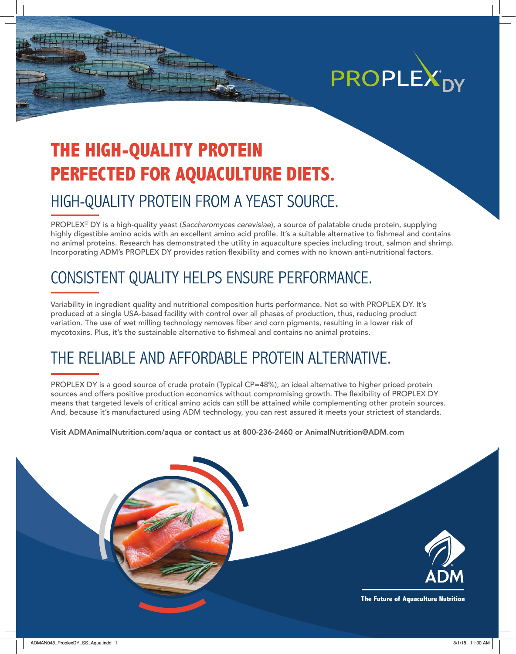

## **THE HIGH-QUALITY PROTEIN PERFECTED FOR AQUACULTURE DIETS.**

### HIGH-QUALITY PROTEIN FROM A YEAST SOURCE.

PROPLEX® DY is a high-quality yeast (*Saccharomyces cerevisiae*), a source of palatable crude protein, supplying highly digestible amino acids with an excellent amino acid profile. It's a suitable alternative to fishmeal and contains no animal proteins. Research has demonstrated the utility in aquaculture species including trout, salmon and shrimp. Incorporating ADM's PROPLEX DY provides ration flexibility and comes with no known anti-nutritional factors.

### CONSISTENT QUALITY HELPS ENSURE PERFORMANCE.

Variability in ingredient quality and nutritional composition hurts performance. Not so with PROPLEX DY. It's produced at a single USA-based facility with control over all phases of production, thus, reducing product variation. The use of wet milling technology removes fiber and corn pigments, resulting in a lower risk of mycotoxins. Plus, it's the sustainable alternative to fishmeal and contains no animal proteins.

### THE RELIABLE AND AFFORDABLE PROTEIN ALTERNATIVE.

PROPLEX DY is a good source of crude protein (Typical CP=48%), an ideal alternative to higher priced protein sources and offers positive production economics without compromising growth. The flexibility of PROPLEX DY means that targeted levels of critical amino acids can still be attained while complementing other protein sources. And, because it's manufactured using ADM technology, you can rest assured it meets your strictest of standards.

Visit ADMAnimalNutrition.com/aqua or contact us at 800-236-2460 or AnimalNutrition@ADM.com